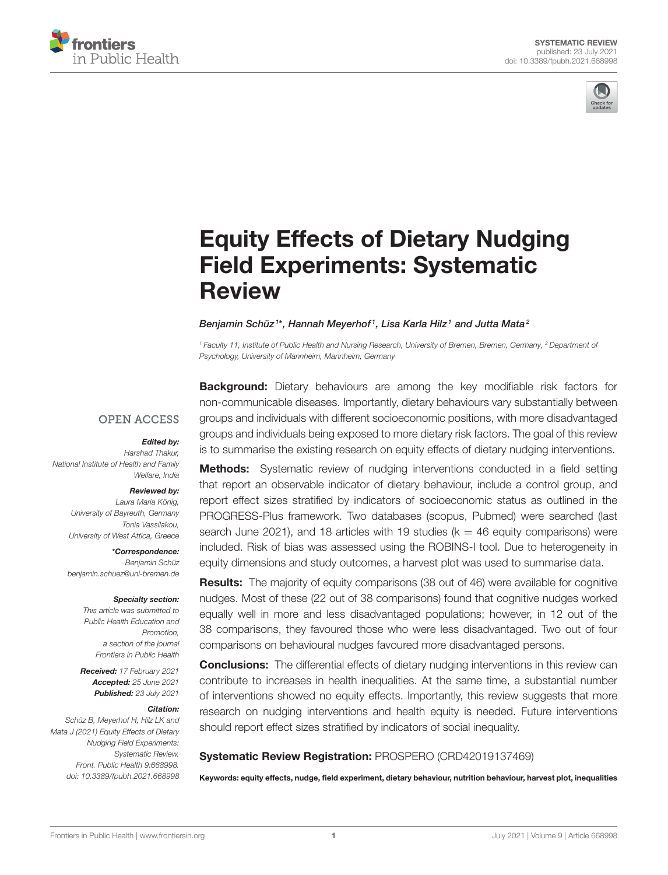



# [Equity Effects of Dietary Nudging](https://www.frontiersin.org/articles/10.3389/fpubh.2021.668998/full) Field Experiments: Systematic **Review**

#### Benjamin Schüz $^{\text{\tiny{14}}}$ , Hannah Meyerhof $^{\text{\tiny{1}}}$ , Lisa Karla Hilz $^{\text{\tiny{1}}}$  and Jutta Mata $^{\text{\tiny{2}}}$

<sup>1</sup> Faculty 11, Institute of Public Health and Nursing Research, University of Bremen, Bremen, Germany, <sup>2</sup> Department of Psychology, University of Mannheim, Mannheim, Germany

#### **OPEN ACCESS**

#### Edited by:

Harshad Thakur, National Institute of Health and Family Welfare, India

#### Reviewed by:

Laura Maria König, University of Bayreuth, Germany Tonia Vassilakou, University of West Attica, Greece

\*Correspondence: Benjamin Schüz [benjamin.schuez@uni-bremen.de](mailto:benjamin.schuez@uni-bremen.de)

#### Specialty section:

This article was submitted to Public Health Education and Promotion, a section of the journal Frontiers in Public Health

Received: 17 February 2021 Accepted: 25 June 2021 Published: 23 July 2021

#### Citation:

Schüz B, Meyerhof H, Hilz LK and Mata J (2021) Equity Effects of Dietary Nudging Field Experiments: Systematic Review. Front. Public Health 9:668998. doi: [10.3389/fpubh.2021.668998](https://doi.org/10.3389/fpubh.2021.668998)

**Background:** Dietary behaviours are among the key modifiable risk factors for non-communicable diseases. Importantly, dietary behaviours vary substantially between groups and individuals with different socioeconomic positions, with more disadvantaged groups and individuals being exposed to more dietary risk factors. The goal of this review is to summarise the existing research on equity effects of dietary nudging interventions.

**Methods:** Systematic review of nudging interventions conducted in a field setting that report an observable indicator of dietary behaviour, include a control group, and report effect sizes stratified by indicators of socioeconomic status as outlined in the PROGRESS-Plus framework. Two databases (scopus, Pubmed) were searched (last search June 2021), and 18 articles with 19 studies ( $k = 46$  equity comparisons) were included. Risk of bias was assessed using the ROBINS-I tool. Due to heterogeneity in equity dimensions and study outcomes, a harvest plot was used to summarise data.

**Results:** The majority of equity comparisons (38 out of 46) were available for cognitive nudges. Most of these (22 out of 38 comparisons) found that cognitive nudges worked equally well in more and less disadvantaged populations; however, in 12 out of the 38 comparisons, they favoured those who were less disadvantaged. Two out of four comparisons on behavioural nudges favoured more disadvantaged persons.

**Conclusions:** The differential effects of dietary nudging interventions in this review can contribute to increases in health inequalities. At the same time, a substantial number of interventions showed no equity effects. Importantly, this review suggests that more research on nudging interventions and health equity is needed. Future interventions should report effect sizes stratified by indicators of social inequality.

#### Systematic Review Registration: PROSPERO (CRD42019137469)

Keywords: equity effects, nudge, field experiment, dietary behaviour, nutrition behaviour, harvest plot, inequalities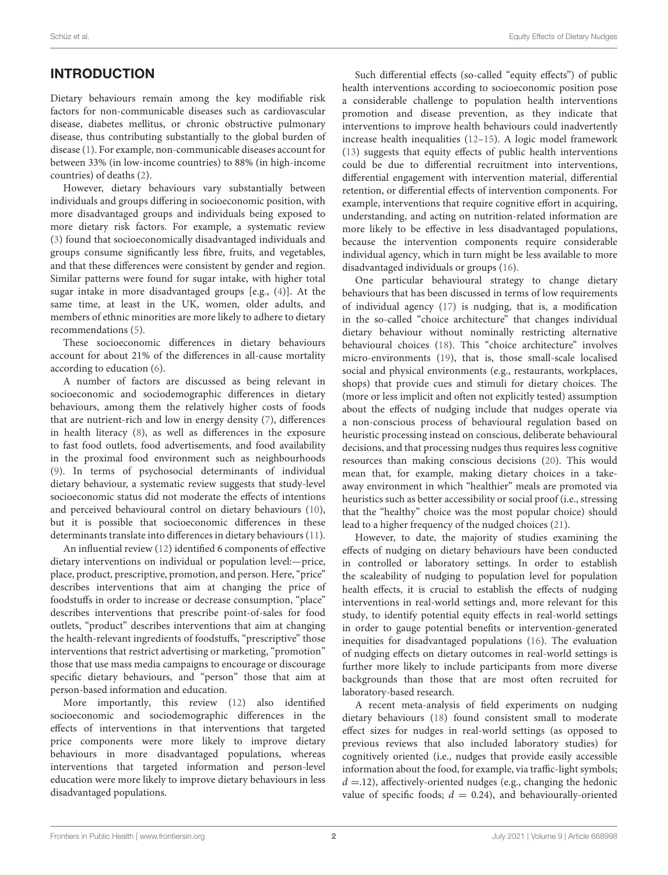# INTRODUCTION

Dietary behaviours remain among the key modifiable risk factors for non-communicable diseases such as cardiovascular disease, diabetes mellitus, or chronic obstructive pulmonary disease, thus contributing substantially to the global burden of disease [\(1\)](#page-10-0). For example, non-communicable diseases account for between 33% (in low-income countries) to 88% (in high-income countries) of deaths [\(2\)](#page-10-1).

However, dietary behaviours vary substantially between individuals and groups differing in socioeconomic position, with more disadvantaged groups and individuals being exposed to more dietary risk factors. For example, a systematic review [\(3\)](#page-10-2) found that socioeconomically disadvantaged individuals and groups consume significantly less fibre, fruits, and vegetables, and that these differences were consistent by gender and region. Similar patterns were found for sugar intake, with higher total sugar intake in more disadvantaged groups [e.g., [\(4\)](#page-10-3)]. At the same time, at least in the UK, women, older adults, and members of ethnic minorities are more likely to adhere to dietary recommendations [\(5\)](#page-10-4).

These socioeconomic differences in dietary behaviours account for about 21% of the differences in all-cause mortality according to education [\(6\)](#page-10-5).

A number of factors are discussed as being relevant in socioeconomic and sociodemographic differences in dietary behaviours, among them the relatively higher costs of foods that are nutrient-rich and low in energy density [\(7\)](#page-10-6), differences in health literacy [\(8\)](#page-10-7), as well as differences in the exposure to fast food outlets, food advertisements, and food availability in the proximal food environment such as neighbourhoods [\(9\)](#page-11-0). In terms of psychosocial determinants of individual dietary behaviour, a systematic review suggests that study-level socioeconomic status did not moderate the effects of intentions and perceived behavioural control on dietary behaviours [\(10\)](#page-11-1), but it is possible that socioeconomic differences in these determinants translate into differences in dietary behaviours [\(11\)](#page-11-2).

An influential review [\(12\)](#page-11-3) identified 6 components of effective dietary interventions on individual or population level:—price, place, product, prescriptive, promotion, and person. Here, "price" describes interventions that aim at changing the price of foodstuffs in order to increase or decrease consumption, "place" describes interventions that prescribe point-of-sales for food outlets, "product" describes interventions that aim at changing the health-relevant ingredients of foodstuffs, "prescriptive" those interventions that restrict advertising or marketing, "promotion" those that use mass media campaigns to encourage or discourage specific dietary behaviours, and "person" those that aim at person-based information and education.

More importantly, this review [\(12\)](#page-11-3) also identified socioeconomic and sociodemographic differences in the effects of interventions in that interventions that targeted price components were more likely to improve dietary behaviours in more disadvantaged populations, whereas interventions that targeted information and person-level education were more likely to improve dietary behaviours in less disadvantaged populations.

Such differential effects (so-called "equity effects") of public health interventions according to socioeconomic position pose a considerable challenge to population health interventions promotion and disease prevention, as they indicate that interventions to improve health behaviours could inadvertently increase health inequalities [\(12](#page-11-3)[–15\)](#page-11-4). A logic model framework [\(13\)](#page-11-5) suggests that equity effects of public health interventions could be due to differential recruitment into interventions, differential engagement with intervention material, differential retention, or differential effects of intervention components. For example, interventions that require cognitive effort in acquiring, understanding, and acting on nutrition-related information are more likely to be effective in less disadvantaged populations, because the intervention components require considerable individual agency, which in turn might be less available to more disadvantaged individuals or groups [\(16\)](#page-11-6).

One particular behavioural strategy to change dietary behaviours that has been discussed in terms of low requirements of individual agency [\(17\)](#page-11-7) is nudging, that is, a modification in the so-called "choice architecture" that changes individual dietary behaviour without nominally restricting alternative behavioural choices [\(18\)](#page-11-8). This "choice architecture" involves micro-environments [\(19\)](#page-11-9), that is, those small-scale localised social and physical environments (e.g., restaurants, workplaces, shops) that provide cues and stimuli for dietary choices. The (more or less implicit and often not explicitly tested) assumption about the effects of nudging include that nudges operate via a non-conscious process of behavioural regulation based on heuristic processing instead on conscious, deliberate behavioural decisions, and that processing nudges thus requires less cognitive resources than making conscious decisions [\(20\)](#page-11-10). This would mean that, for example, making dietary choices in a takeaway environment in which "healthier" meals are promoted via heuristics such as better accessibility or social proof (i.e., stressing that the "healthy" choice was the most popular choice) should lead to a higher frequency of the nudged choices [\(21\)](#page-11-11).

However, to date, the majority of studies examining the effects of nudging on dietary behaviours have been conducted in controlled or laboratory settings. In order to establish the scaleability of nudging to population level for population health effects, it is crucial to establish the effects of nudging interventions in real-world settings and, more relevant for this study, to identify potential equity effects in real-world settings in order to gauge potential benefits or intervention-generated inequities for disadvantaged populations [\(16\)](#page-11-6). The evaluation of nudging effects on dietary outcomes in real-world settings is further more likely to include participants from more diverse backgrounds than those that are most often recruited for laboratory-based research.

A recent meta-analysis of field experiments on nudging dietary behaviours [\(18\)](#page-11-8) found consistent small to moderate effect sizes for nudges in real-world settings (as opposed to previous reviews that also included laboratory studies) for cognitively oriented (i.e., nudges that provide easily accessible information about the food, for example, via traffic-light symbols;  $d = 12$ ), affectively-oriented nudges (e.g., changing the hedonic value of specific foods;  $d = 0.24$ ), and behaviourally-oriented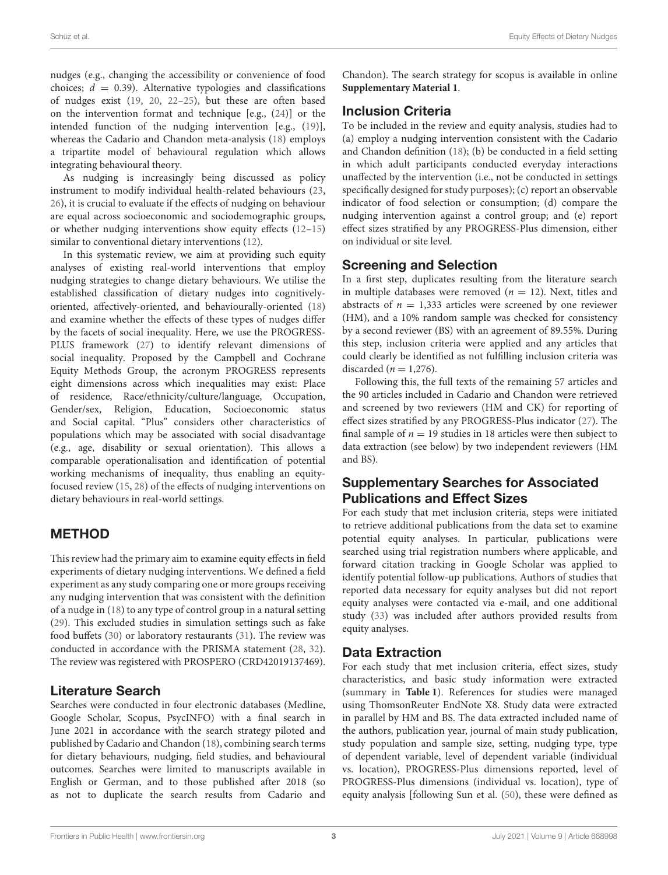nudges (e.g., changing the accessibility or convenience of food choices;  $d = 0.39$ ). Alternative typologies and classifications of nudges exist [\(19,](#page-11-9) [20,](#page-11-10) [22–](#page-11-12)[25\)](#page-11-13), but these are often based on the intervention format and technique [e.g., [\(24\)](#page-11-14)] or the intended function of the nudging intervention [e.g., [\(19\)](#page-11-9)], whereas the Cadario and Chandon meta-analysis [\(18\)](#page-11-8) employs a tripartite model of behavioural regulation which allows integrating behavioural theory.

As nudging is increasingly being discussed as policy instrument to modify individual health-related behaviours [\(23,](#page-11-15) [26\)](#page-11-16), it is crucial to evaluate if the effects of nudging on behaviour are equal across socioeconomic and sociodemographic groups, or whether nudging interventions show equity effects [\(12–](#page-11-3)[15\)](#page-11-4) similar to conventional dietary interventions [\(12\)](#page-11-3).

In this systematic review, we aim at providing such equity analyses of existing real-world interventions that employ nudging strategies to change dietary behaviours. We utilise the established classification of dietary nudges into cognitivelyoriented, affectively-oriented, and behaviourally-oriented [\(18\)](#page-11-8) and examine whether the effects of these types of nudges differ by the facets of social inequality. Here, we use the PROGRESS-PLUS framework [\(27\)](#page-11-17) to identify relevant dimensions of social inequality. Proposed by the Campbell and Cochrane Equity Methods Group, the acronym PROGRESS represents eight dimensions across which inequalities may exist: Place of residence, Race/ethnicity/culture/language, Occupation, Gender/sex, Religion, Education, Socioeconomic status and Social capital. "Plus" considers other characteristics of populations which may be associated with social disadvantage (e.g., age, disability or sexual orientation). This allows a comparable operationalisation and identification of potential working mechanisms of inequality, thus enabling an equityfocused review [\(15,](#page-11-4) [28\)](#page-11-18) of the effects of nudging interventions on dietary behaviours in real-world settings.

#### METHOD

This review had the primary aim to examine equity effects in field experiments of dietary nudging interventions. We defined a field experiment as any study comparing one or more groups receiving any nudging intervention that was consistent with the definition of a nudge in [\(18\)](#page-11-8) to any type of control group in a natural setting [\(29\)](#page-11-19). This excluded studies in simulation settings such as fake food buffets [\(30\)](#page-11-20) or laboratory restaurants [\(31\)](#page-11-21). The review was conducted in accordance with the PRISMA statement [\(28,](#page-11-18) [32\)](#page-11-22). The review was registered with PROSPERO (CRD42019137469).

#### Literature Search

Searches were conducted in four electronic databases (Medline, Google Scholar, Scopus, PsycINFO) with a final search in June 2021 in accordance with the search strategy piloted and published by Cadario and Chandon [\(18\)](#page-11-8), combining search terms for dietary behaviours, nudging, field studies, and behavioural outcomes. Searches were limited to manuscripts available in English or German, and to those published after 2018 (so as not to duplicate the search results from Cadario and Chandon). The search strategy for scopus is available in online **[Supplementary Material 1](#page-10-8)**.

#### Inclusion Criteria

To be included in the review and equity analysis, studies had to (a) employ a nudging intervention consistent with the Cadario and Chandon definition [\(18\)](#page-11-8); (b) be conducted in a field setting in which adult participants conducted everyday interactions unaffected by the intervention (i.e., not be conducted in settings specifically designed for study purposes); (c) report an observable indicator of food selection or consumption; (d) compare the nudging intervention against a control group; and (e) report effect sizes stratified by any PROGRESS-Plus dimension, either on individual or site level.

#### Screening and Selection

In a first step, duplicates resulting from the literature search in multiple databases were removed ( $n = 12$ ). Next, titles and abstracts of  $n = 1,333$  articles were screened by one reviewer (HM), and a 10% random sample was checked for consistency by a second reviewer (BS) with an agreement of 89.55%. During this step, inclusion criteria were applied and any articles that could clearly be identified as not fulfilling inclusion criteria was discarded ( $n = 1,276$ ).

Following this, the full texts of the remaining 57 articles and the 90 articles included in Cadario and Chandon were retrieved and screened by two reviewers (HM and CK) for reporting of effect sizes stratified by any PROGRESS-Plus indicator [\(27\)](#page-11-17). The final sample of  $n = 19$  studies in 18 articles were then subject to data extraction (see below) by two independent reviewers (HM and BS).

#### Supplementary Searches for Associated Publications and Effect Sizes

For each study that met inclusion criteria, steps were initiated to retrieve additional publications from the data set to examine potential equity analyses. In particular, publications were searched using trial registration numbers where applicable, and forward citation tracking in Google Scholar was applied to identify potential follow-up publications. Authors of studies that reported data necessary for equity analyses but did not report equity analyses were contacted via e-mail, and one additional study [\(33\)](#page-11-23) was included after authors provided results from equity analyses.

#### Data Extraction

For each study that met inclusion criteria, effect sizes, study characteristics, and basic study information were extracted (summary in **[Table 1](#page-3-0)**). References for studies were managed using ThomsonReuter EndNote X8. Study data were extracted in parallel by HM and BS. The data extracted included name of the authors, publication year, journal of main study publication, study population and sample size, setting, nudging type, type of dependent variable, level of dependent variable (individual vs. location), PROGRESS-Plus dimensions reported, level of PROGRESS-Plus dimensions (individual vs. location), type of equity analysis [following Sun et al. [\(50\)](#page-12-0), these were defined as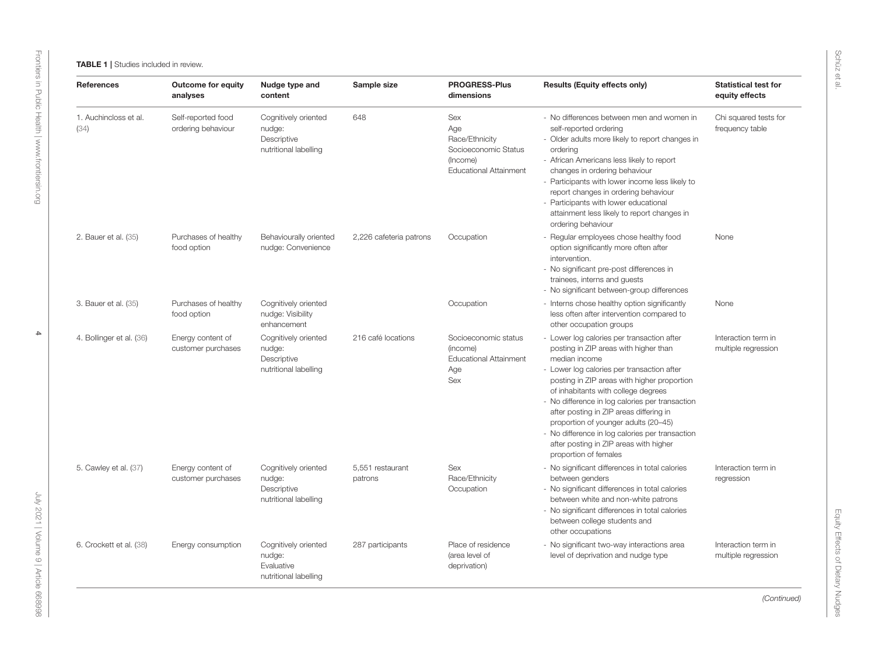<span id="page-3-0"></span>

| <b>References</b>             | <b>Outcome for equity</b><br>analyses    | Nudge type and<br>content                                              | Sample size                 | <b>PROGRESS-Plus</b><br>dimensions                                                                | <b>Results (Equity effects only)</b>                                                                                                                                                                                                                                                                                                                                                                                                                                                                 | <b>Statistical test for</b><br>equity effects |
|-------------------------------|------------------------------------------|------------------------------------------------------------------------|-----------------------------|---------------------------------------------------------------------------------------------------|------------------------------------------------------------------------------------------------------------------------------------------------------------------------------------------------------------------------------------------------------------------------------------------------------------------------------------------------------------------------------------------------------------------------------------------------------------------------------------------------------|-----------------------------------------------|
| 1. Auchincloss et al.<br>(34) | Self-reported food<br>ordering behaviour | Cognitively oriented<br>nudge:<br>Descriptive<br>nutritional labelling | 648                         | Sex<br>Age<br>Race/Ethnicity<br>Socioeconomic Status<br>(Income)<br><b>Educational Attainment</b> | - No differences between men and women in<br>self-reported ordering<br>- Older adults more likely to report changes in<br>ordering<br>- African Americans less likely to report<br>changes in ordering behaviour<br>- Participants with lower income less likely to<br>report changes in ordering behaviour<br>- Participants with lower educational<br>attainment less likely to report changes in<br>ordering behaviour                                                                            | Chi squared tests for<br>frequency table      |
| 2. Bauer et al. (35)          | Purchases of healthy<br>food option      | Behaviourally oriented<br>nudge: Convenience                           | 2,226 cafeteria patrons     | Occupation                                                                                        | - Regular employees chose healthy food<br>option significantly more often after<br>intervention.<br>- No significant pre-post differences in<br>trainees, interns and guests<br>- No significant between-group differences                                                                                                                                                                                                                                                                           | None                                          |
| 3. Bauer et al. (35)          | Purchases of healthy<br>food option      | Cognitively oriented<br>nudge: Visibility<br>enhancement               |                             | Occupation                                                                                        | - Interns chose healthy option significantly<br>less often after intervention compared to<br>other occupation groups                                                                                                                                                                                                                                                                                                                                                                                 | None                                          |
| 4. Bollinger et al. (36)      | Energy content of<br>customer purchases  | Cognitively oriented<br>nudge:<br>Descriptive<br>nutritional labelling | 216 café locations          | Socioeconomic status<br>(income)<br><b>Educational Attainment</b><br>Age<br>Sex                   | - Lower log calories per transaction after<br>posting in ZIP areas with higher than<br>median income<br>- Lower log calories per transaction after<br>posting in ZIP areas with higher proportion<br>of inhabitants with college degrees<br>- No difference in log calories per transaction<br>after posting in ZIP areas differing in<br>proportion of younger adults (20-45)<br>- No difference in log calories per transaction<br>after posting in ZIP areas with higher<br>proportion of females | Interaction term in<br>multiple regression    |
| 5. Cawley et al. (37)         | Energy content of<br>customer purchases  | Cognitively oriented<br>nudge:<br>Descriptive<br>nutritional labelling | 5,551 restaurant<br>patrons | Sex<br>Race/Ethnicity<br>Occupation                                                               | - No significant differences in total calories<br>between genders<br>- No significant differences in total calories<br>between white and non-white patrons<br>- No significant differences in total calories<br>between college students and<br>other occupations                                                                                                                                                                                                                                    | Interaction term in<br>regression             |
| 6. Crockett et al. (38)       | Energy consumption                       | Cognitively oriented<br>nudge:<br>Evaluative<br>nutritional labelling  | 287 participants            | Place of residence<br>(area level of<br>deprivation)                                              | - No significant two-way interactions area<br>level of deprivation and nudge type                                                                                                                                                                                                                                                                                                                                                                                                                    | Interaction term in<br>multiple regression    |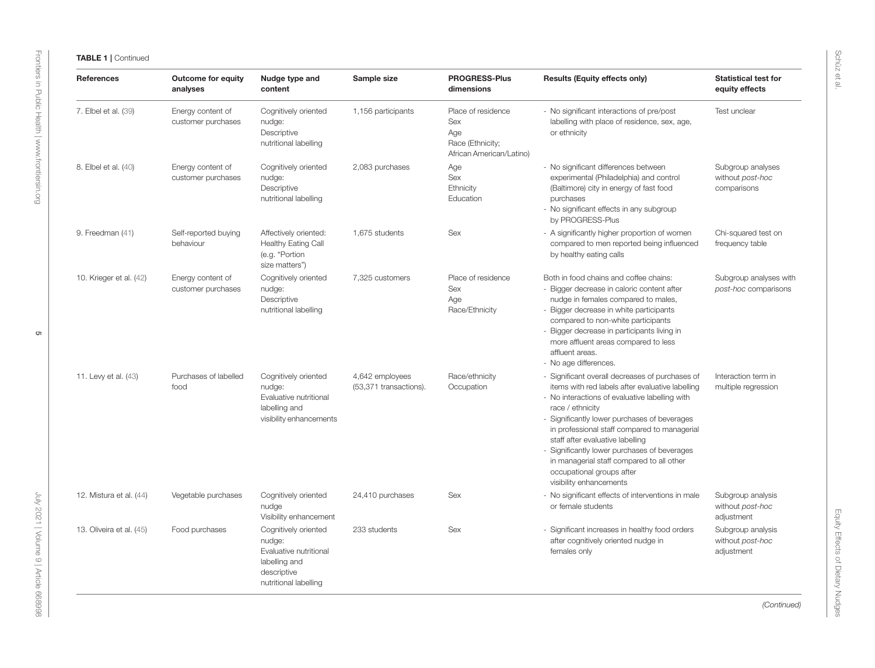| <b>References</b>        | <b>Outcome for equity</b><br>analyses   | Nudge type and<br>content                                                                                         | Sample size                               | <b>PROGRESS-Plus</b><br>dimensions                                               | <b>Results (Equity effects only)</b>                                                                                                                                                                                                                                                                                                                                                                                                                               | <b>Statistical test for</b><br>equity effects        |
|--------------------------|-----------------------------------------|-------------------------------------------------------------------------------------------------------------------|-------------------------------------------|----------------------------------------------------------------------------------|--------------------------------------------------------------------------------------------------------------------------------------------------------------------------------------------------------------------------------------------------------------------------------------------------------------------------------------------------------------------------------------------------------------------------------------------------------------------|------------------------------------------------------|
| 7. Elbel et al. (39)     | Energy content of<br>customer purchases | Cognitively oriented<br>nudge:<br>Descriptive<br>nutritional labelling                                            | 1,156 participants                        | Place of residence<br>Sex<br>Age<br>Race (Ethnicity;<br>African American/Latino) | - No significant interactions of pre/post<br>labelling with place of residence, sex, age,<br>or ethnicity                                                                                                                                                                                                                                                                                                                                                          | Test unclear                                         |
| 8. Elbel et al. (40)     | Energy content of<br>customer purchases | Cognitively oriented<br>nudge:<br>Descriptive<br>nutritional labelling                                            | 2,083 purchases                           | Age<br>Sex<br>Ethnicity<br>Education                                             | - No significant differences between<br>experimental (Philadelphia) and control<br>(Baltimore) city in energy of fast food<br>purchases<br>- No significant effects in any subgroup<br>by PROGRESS-Plus                                                                                                                                                                                                                                                            | Subgroup analyses<br>without post-hoc<br>comparisons |
| 9. Freedman (41)         | Self-reported buying<br>behaviour       | Affectively oriented:<br><b>Healthy Eating Call</b><br>(e.g. "Portion<br>size matters")                           | 1,675 students                            | Sex                                                                              | - A significantly higher proportion of women<br>compared to men reported being influenced<br>by healthy eating calls                                                                                                                                                                                                                                                                                                                                               | Chi-squared test on<br>frequency table               |
| 10. Krieger et al. (42)  | Energy content of<br>customer purchases | Cognitively oriented<br>nudge:<br>Descriptive<br>nutritional labelling                                            | 7,325 customers                           | Place of residence<br><b>Sex</b><br>Age<br>Race/Ethnicity                        | Both in food chains and coffee chains:<br>- Bigger decrease in caloric content after<br>nudge in females compared to males,<br>- Bigger decrease in white participants<br>compared to non-white participants<br>- Bigger decrease in participants living in<br>more affluent areas compared to less<br>affluent areas.<br>- No age differences.                                                                                                                    | Subgroup analyses with<br>post-hoc comparisons       |
| 11. Levy et al. (43)     | Purchases of labelled<br>food           | Cognitively oriented<br>nudge:<br>Evaluative nutritional<br>labelling and<br>visibility enhancements              | 4,642 employees<br>(53,371 transactions). | Race/ethnicity<br>Occupation                                                     | - Significant overall decreases of purchases of<br>items with red labels after evaluative labelling<br>- No interactions of evaluative labelling with<br>race / ethnicity<br>- Significantly lower purchases of beverages<br>in professional staff compared to managerial<br>staff after evaluative labelling<br>- Significantly lower purchases of beverages<br>in managerial staff compared to all other<br>occupational groups after<br>visibility enhancements | Interaction term in<br>multiple regression           |
| 12. Mistura et al. (44)  | Vegetable purchases                     | Cognitively oriented<br>nudge<br>Visibility enhancement                                                           | 24,410 purchases                          | Sex                                                                              | - No significant effects of interventions in male<br>or female students                                                                                                                                                                                                                                                                                                                                                                                            | Subgroup analysis<br>without post-hoc<br>adjustment  |
| 13. Oliveira et al. (45) | Food purchases                          | Cognitively oriented<br>nudge:<br>Evaluative nutritional<br>labelling and<br>descriptive<br>nutritional labelling | 233 students                              | Sex                                                                              | - Significant increases in healthy food orders<br>after cognitively oriented nudge in<br>females only                                                                                                                                                                                                                                                                                                                                                              | Subgroup analysis<br>without post-hoc<br>adjustment  |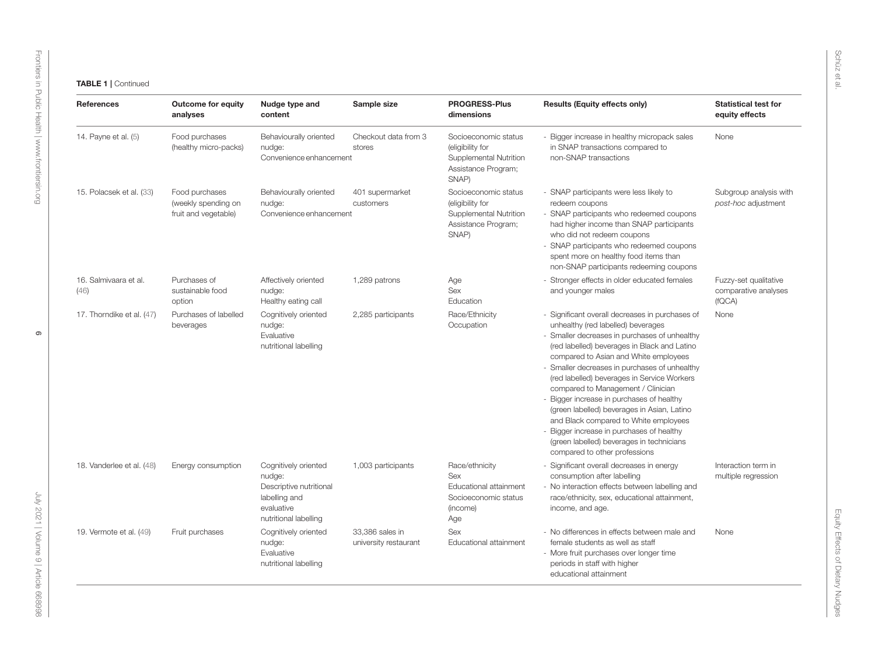| <b>References</b>             | <b>Outcome for equity</b><br>analyses                         | Nudge type and<br>content                                                                                         | Sample size                              | <b>PROGRESS-Plus</b><br>dimensions                                                                 | <b>Results (Equity effects only)</b>                                                                                                                                                                                                                                                                                                                                                                                                                                                                                                                                                                                              | <b>Statistical test for</b><br>equity effects           |
|-------------------------------|---------------------------------------------------------------|-------------------------------------------------------------------------------------------------------------------|------------------------------------------|----------------------------------------------------------------------------------------------------|-----------------------------------------------------------------------------------------------------------------------------------------------------------------------------------------------------------------------------------------------------------------------------------------------------------------------------------------------------------------------------------------------------------------------------------------------------------------------------------------------------------------------------------------------------------------------------------------------------------------------------------|---------------------------------------------------------|
| 14. Payne et al. (5)          | Food purchases<br>(healthy micro-packs)                       | Behaviourally oriented<br>nudge:<br>Convenience enhancement                                                       | Checkout data from 3<br>stores           | Socioeconomic status<br>(eligibility for<br>Supplemental Nutrition<br>Assistance Program;<br>SNAP) | - Bigger increase in healthy micropack sales<br>in SNAP transactions compared to<br>non-SNAP transactions                                                                                                                                                                                                                                                                                                                                                                                                                                                                                                                         | None                                                    |
| 15. Polacsek et al. (33)      | Food purchases<br>(weekly spending on<br>fruit and vegetable) | Behaviourally oriented<br>nudge:<br>Convenience enhancement                                                       | 401 supermarket<br>customers             | Socioeconomic status<br>(eligibility for<br>Supplemental Nutrition<br>Assistance Program;<br>SNAP) | - SNAP participants were less likely to<br>redeem coupons<br>- SNAP participants who redeemed coupons<br>had higher income than SNAP participants<br>who did not redeem coupons<br>- SNAP participants who redeemed coupons<br>spent more on healthy food items than<br>non-SNAP participants redeeming coupons                                                                                                                                                                                                                                                                                                                   | Subgroup analysis with<br>post-hoc adjustment           |
| 16. Salmivaara et al.<br>(46) | Purchases of<br>sustainable food<br>option                    | Affectively oriented<br>nudge:<br>Healthy eating call                                                             | 1,289 patrons                            | Age<br>Sex<br>Education                                                                            | - Stronger effects in older educated females<br>and younger males                                                                                                                                                                                                                                                                                                                                                                                                                                                                                                                                                                 | Fuzzy-set qualitative<br>comparative analyses<br>(fQCA) |
| 17. Thorndike et al. (47)     | Purchases of labelled<br>beverages                            | Cognitively oriented<br>nudge:<br>Evaluative<br>nutritional labelling                                             | 2,285 participants                       | Race/Ethnicity<br>Occupation                                                                       | - Significant overall decreases in purchases of<br>unhealthy (red labelled) beverages<br>- Smaller decreases in purchases of unhealthy<br>(red labelled) beverages in Black and Latino<br>compared to Asian and White employees<br>Smaller decreases in purchases of unhealthy<br>(red labelled) beverages in Service Workers<br>compared to Management / Clinician<br>- Bigger increase in purchases of healthy<br>(green labelled) beverages in Asian, Latino<br>and Black compared to White employees<br>Bigger increase in purchases of healthy<br>(green labelled) beverages in technicians<br>compared to other professions | None                                                    |
| 18. Vanderlee et al. (48)     | Energy consumption                                            | Cognitively oriented<br>nudge:<br>Descriptive nutritional<br>labelling and<br>evaluative<br>nutritional labelling | 1,003 participants                       | Race/ethnicity<br>Sex<br>Educational attainment<br>Socioeconomic status<br>(income)<br>Age         | - Significant overall decreases in energy<br>consumption after labelling<br>- No interaction effects between labelling and<br>race/ethnicity, sex, educational attainment,<br>income, and age.                                                                                                                                                                                                                                                                                                                                                                                                                                    | Interaction term in<br>multiple regression              |
| 19. Vermote et al. (49)       | Fruit purchases                                               | Cognitively oriented<br>nudge:<br>Evaluative<br>nutritional labelling                                             | 33,386 sales in<br>university restaurant | Sex<br>Educational attainment                                                                      | - No differences in effects between male and<br>female students as well as staff<br>- More fruit purchases over longer time<br>periods in staff with higher<br>educational attainment                                                                                                                                                                                                                                                                                                                                                                                                                                             | None                                                    |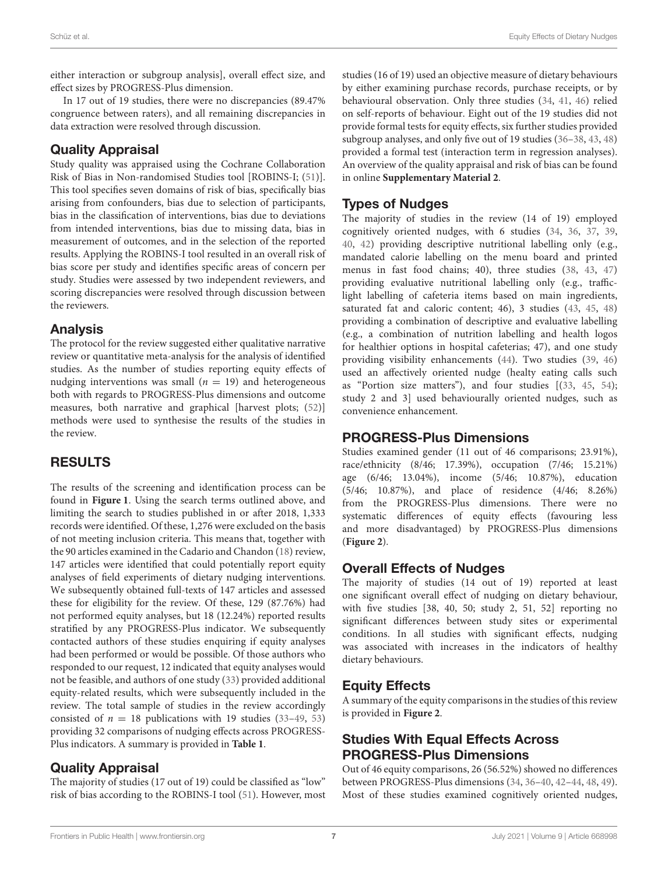either interaction or subgroup analysis], overall effect size, and effect sizes by PROGRESS-Plus dimension.

In 17 out of 19 studies, there were no discrepancies (89.47% congruence between raters), and all remaining discrepancies in data extraction were resolved through discussion.

#### Quality Appraisal

Study quality was appraised using the Cochrane Collaboration Risk of Bias in Non-randomised Studies tool [ROBINS-I; [\(51\)](#page-12-4)]. This tool specifies seven domains of risk of bias, specifically bias arising from confounders, bias due to selection of participants, bias in the classification of interventions, bias due to deviations from intended interventions, bias due to missing data, bias in measurement of outcomes, and in the selection of the reported results. Applying the ROBINS-I tool resulted in an overall risk of bias score per study and identifies specific areas of concern per study. Studies were assessed by two independent reviewers, and scoring discrepancies were resolved through discussion between the reviewers.

#### Analysis

The protocol for the review suggested either qualitative narrative review or quantitative meta-analysis for the analysis of identified studies. As the number of studies reporting equity effects of nudging interventions was small ( $n = 19$ ) and heterogeneous both with regards to PROGRESS-Plus dimensions and outcome measures, both narrative and graphical [harvest plots; [\(52\)](#page-12-5)] methods were used to synthesise the results of the studies in the review.

# RESULTS

The results of the screening and identification process can be found in **[Figure 1](#page-7-0)**. Using the search terms outlined above, and limiting the search to studies published in or after 2018, 1,333 records were identified. Of these, 1,276 were excluded on the basis of not meeting inclusion criteria. This means that, together with the 90 articles examined in the Cadario and Chandon [\(18\)](#page-11-8) review, 147 articles were identified that could potentially report equity analyses of field experiments of dietary nudging interventions. We subsequently obtained full-texts of 147 articles and assessed these for eligibility for the review. Of these, 129 (87.76%) had not performed equity analyses, but 18 (12.24%) reported results stratified by any PROGRESS-Plus indicator. We subsequently contacted authors of these studies enquiring if equity analyses had been performed or would be possible. Of those authors who responded to our request, 12 indicated that equity analyses would not be feasible, and authors of one study [\(33\)](#page-11-23) provided additional equity-related results, which were subsequently included in the review. The total sample of studies in the review accordingly consisted of  $n = 18$  publications with 19 studies (33-[49,](#page-12-6) [53\)](#page-12-7) providing 32 comparisons of nudging effects across PROGRESS-Plus indicators. A summary is provided in **[Table 1](#page-3-0)**.

# Quality Appraisal

The majority of studies (17 out of 19) could be classified as "low" risk of bias according to the ROBINS-I tool [\(51\)](#page-12-4). However, most studies (16 of 19) used an objective measure of dietary behaviours by either examining purchase records, purchase receipts, or by behavioural observation. Only three studies [\(34,](#page-11-38) [41,](#page-11-39) [46\)](#page-11-40) relied on self-reports of behaviour. Eight out of the 19 studies did not provide formal tests for equity effects, six further studies provided subgroup analyses, and only five out of 19 studies [\(36](#page-11-41)[–38,](#page-11-42) [43,](#page-11-43) [48\)](#page-12-8) provided a formal test (interaction term in regression analyses). An overview of the quality appraisal and risk of bias can be found in online **[Supplementary Material 2](#page-10-8)**.

# Types of Nudges

The majority of studies in the review (14 of 19) employed cognitively oriented nudges, with 6 studies [\(34,](#page-11-38) [36,](#page-11-41) [37,](#page-11-44) [39,](#page-11-45) [40,](#page-11-46) [42\)](#page-11-47) providing descriptive nutritional labelling only (e.g., mandated calorie labelling on the menu board and printed menus in fast food chains; 40), three studies [\(38,](#page-11-42) [43,](#page-11-43) [47\)](#page-12-9) providing evaluative nutritional labelling only (e.g., trafficlight labelling of cafeteria items based on main ingredients, saturated fat and caloric content; 46), 3 studies [\(43,](#page-11-43) [45,](#page-11-48) [48\)](#page-12-8) providing a combination of descriptive and evaluative labelling (e.g., a combination of nutrition labelling and health logos for healthier options in hospital cafeterias; 47), and one study providing visibility enhancements [\(44\)](#page-11-49). Two studies [\(39,](#page-11-45) [46\)](#page-11-40) used an affectively oriented nudge (healty eating calls such as "Portion size matters"), and four studies [[\(33,](#page-11-23) [45,](#page-11-48) [54\)](#page-12-10); study 2 and 3] used behaviourally oriented nudges, such as convenience enhancement.

#### PROGRESS-Plus Dimensions

Studies examined gender (11 out of 46 comparisons; 23.91%), race/ethnicity (8/46; 17.39%), occupation (7/46; 15.21%) age (6/46; 13.04%), income (5/46; 10.87%), education (5/46; 10.87%), and place of residence (4/46; 8.26%) from the PROGRESS-Plus dimensions. There were no systematic differences of equity effects (favouring less and more disadvantaged) by PROGRESS-Plus dimensions (**[Figure 2](#page-7-1)**).

#### Overall Effects of Nudges

The majority of studies (14 out of 19) reported at least one significant overall effect of nudging on dietary behaviour, with five studies [38, 40, 50; study 2, 51, 52] reporting no significant differences between study sites or experimental conditions. In all studies with significant effects, nudging was associated with increases in the indicators of healthy dietary behaviours.

# Equity Effects

A summary of the equity comparisons in the studies of this review is provided in **[Figure 2](#page-7-1)**.

# Studies With Equal Effects Across PROGRESS-Plus Dimensions

Out of 46 equity comparisons, 26 (56.52%) showed no differences between PROGRESS-Plus dimensions [\(34,](#page-11-38) [36](#page-11-41)[–40,](#page-11-46) [42](#page-11-47)[–44,](#page-11-49) [48,](#page-12-8) [49\)](#page-12-6). Most of these studies examined cognitively oriented nudges,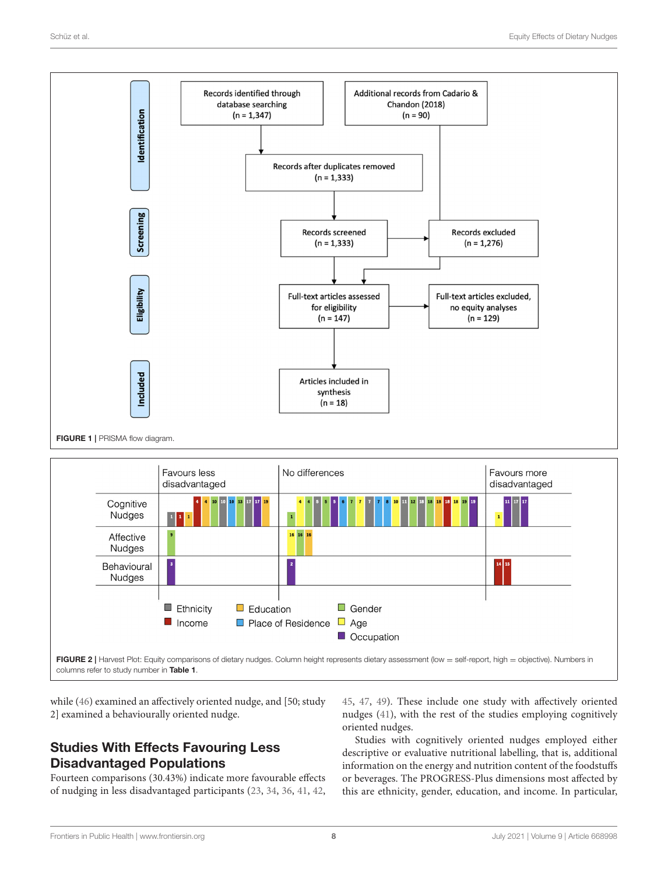

<span id="page-7-1"></span><span id="page-7-0"></span>FIGURE 2 | Harvest Plot: Equity comparisons of dietary nudges. Column height represents dietary assessment (low = self-report, high = objective). Numbers in columns refer to study number in [Table 1](#page-3-0).

while [\(46\)](#page-11-40) examined an affectively oriented nudge, and [50; study 2] examined a behaviourally oriented nudge.

# Studies With Effects Favouring Less Disadvantaged Populations

Fourteen comparisons (30.43%) indicate more favourable effects of nudging in less disadvantaged participants [\(23,](#page-11-15) [34,](#page-11-38) [36,](#page-11-41) [41,](#page-11-39) [42,](#page-11-47) [45,](#page-11-48) [47,](#page-12-9) [49\)](#page-12-6). These include one study with affectively oriented nudges [\(41\)](#page-11-39), with the rest of the studies employing cognitively oriented nudges.

Studies with cognitively oriented nudges employed either descriptive or evaluative nutritional labelling, that is, additional information on the energy and nutrition content of the foodstuffs or beverages. The PROGRESS-Plus dimensions most affected by this are ethnicity, gender, education, and income. In particular,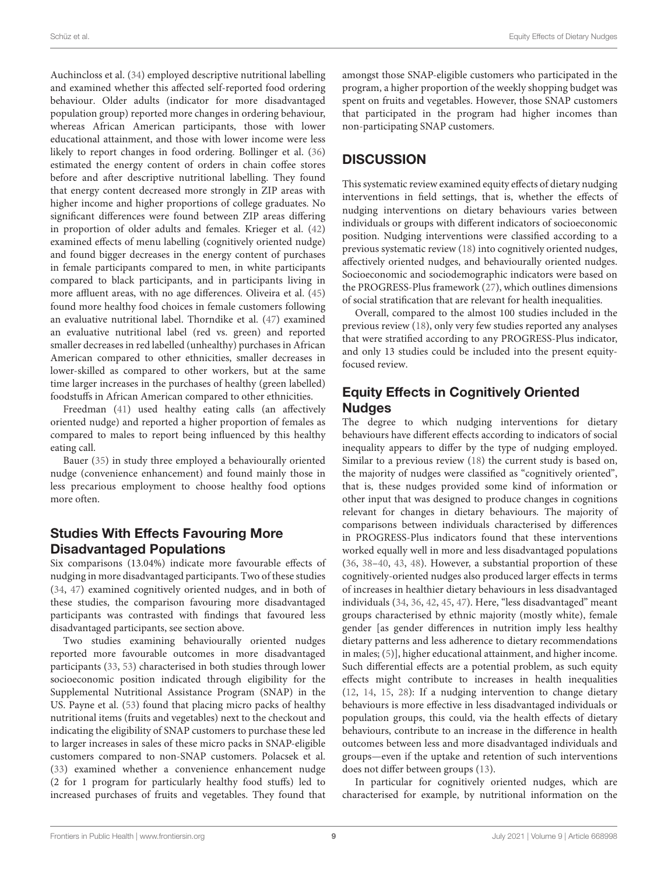Auchincloss et al. [\(34\)](#page-11-38) employed descriptive nutritional labelling and examined whether this affected self-reported food ordering behaviour. Older adults (indicator for more disadvantaged population group) reported more changes in ordering behaviour, whereas African American participants, those with lower educational attainment, and those with lower income were less likely to report changes in food ordering. Bollinger et al. [\(36\)](#page-11-41) estimated the energy content of orders in chain coffee stores before and after descriptive nutritional labelling. They found that energy content decreased more strongly in ZIP areas with higher income and higher proportions of college graduates. No significant differences were found between ZIP areas differing in proportion of older adults and females. Krieger et al. [\(42\)](#page-11-47) examined effects of menu labelling (cognitively oriented nudge) and found bigger decreases in the energy content of purchases in female participants compared to men, in white participants compared to black participants, and in participants living in more affluent areas, with no age differences. Oliveira et al. [\(45\)](#page-11-48) found more healthy food choices in female customers following an evaluative nutritional label. Thorndike et al. [\(47\)](#page-12-9) examined an evaluative nutritional label (red vs. green) and reported smaller decreases in red labelled (unhealthy) purchases in African American compared to other ethnicities, smaller decreases in lower-skilled as compared to other workers, but at the same time larger increases in the purchases of healthy (green labelled) foodstuffs in African American compared to other ethnicities.

Freedman [\(41\)](#page-11-39) used healthy eating calls (an affectively oriented nudge) and reported a higher proportion of females as compared to males to report being influenced by this healthy eating call.

Bauer [\(35\)](#page-11-50) in study three employed a behaviourally oriented nudge (convenience enhancement) and found mainly those in less precarious employment to choose healthy food options more often.

#### Studies With Effects Favouring More Disadvantaged Populations

Six comparisons (13.04%) indicate more favourable effects of nudging in more disadvantaged participants. Two of these studies [\(34,](#page-11-38) [47\)](#page-12-9) examined cognitively oriented nudges, and in both of these studies, the comparison favouring more disadvantaged participants was contrasted with findings that favoured less disadvantaged participants, see section above.

Two studies examining behaviourally oriented nudges reported more favourable outcomes in more disadvantaged participants [\(33,](#page-11-23) [53\)](#page-12-7) characterised in both studies through lower socioeconomic position indicated through eligibility for the Supplemental Nutritional Assistance Program (SNAP) in the US. Payne et al. [\(53\)](#page-12-7) found that placing micro packs of healthy nutritional items (fruits and vegetables) next to the checkout and indicating the eligibility of SNAP customers to purchase these led to larger increases in sales of these micro packs in SNAP-eligible customers compared to non-SNAP customers. Polacsek et al. [\(33\)](#page-11-23) examined whether a convenience enhancement nudge (2 for 1 program for particularly healthy food stuffs) led to increased purchases of fruits and vegetables. They found that amongst those SNAP-eligible customers who participated in the program, a higher proportion of the weekly shopping budget was spent on fruits and vegetables. However, those SNAP customers that participated in the program had higher incomes than non-participating SNAP customers.

# **DISCUSSION**

This systematic review examined equity effects of dietary nudging interventions in field settings, that is, whether the effects of nudging interventions on dietary behaviours varies between individuals or groups with different indicators of socioeconomic position. Nudging interventions were classified according to a previous systematic review [\(18\)](#page-11-8) into cognitively oriented nudges, affectively oriented nudges, and behaviourally oriented nudges. Socioeconomic and sociodemographic indicators were based on the PROGRESS-Plus framework [\(27\)](#page-11-17), which outlines dimensions of social stratification that are relevant for health inequalities.

Overall, compared to the almost 100 studies included in the previous review [\(18\)](#page-11-8), only very few studies reported any analyses that were stratified according to any PROGRESS-Plus indicator, and only 13 studies could be included into the present equityfocused review.

#### Equity Effects in Cognitively Oriented **Nudges**

The degree to which nudging interventions for dietary behaviours have different effects according to indicators of social inequality appears to differ by the type of nudging employed. Similar to a previous review [\(18\)](#page-11-8) the current study is based on, the majority of nudges were classified as "cognitively oriented", that is, these nudges provided some kind of information or other input that was designed to produce changes in cognitions relevant for changes in dietary behaviours. The majority of comparisons between individuals characterised by differences in PROGRESS-Plus indicators found that these interventions worked equally well in more and less disadvantaged populations [\(36,](#page-11-41) [38–](#page-11-42)[40,](#page-11-46) [43,](#page-11-43) [48\)](#page-12-8). However, a substantial proportion of these cognitively-oriented nudges also produced larger effects in terms of increases in healthier dietary behaviours in less disadvantaged individuals [\(34,](#page-11-38) [36,](#page-11-41) [42,](#page-11-47) [45,](#page-11-48) [47\)](#page-12-9). Here, "less disadvantaged" meant groups characterised by ethnic majority (mostly white), female gender [as gender differences in nutrition imply less healthy dietary patterns and less adherence to dietary recommendations in males; [\(5\)](#page-10-4)], higher educational attainment, and higher income. Such differential effects are a potential problem, as such equity effects might contribute to increases in health inequalities [\(12,](#page-11-3) [14,](#page-11-51) [15,](#page-11-4) [28\)](#page-11-18): If a nudging intervention to change dietary behaviours is more effective in less disadvantaged individuals or population groups, this could, via the health effects of dietary behaviours, contribute to an increase in the difference in health outcomes between less and more disadvantaged individuals and groups—even if the uptake and retention of such interventions does not differ between groups [\(13\)](#page-11-5).

In particular for cognitively oriented nudges, which are characterised for example, by nutritional information on the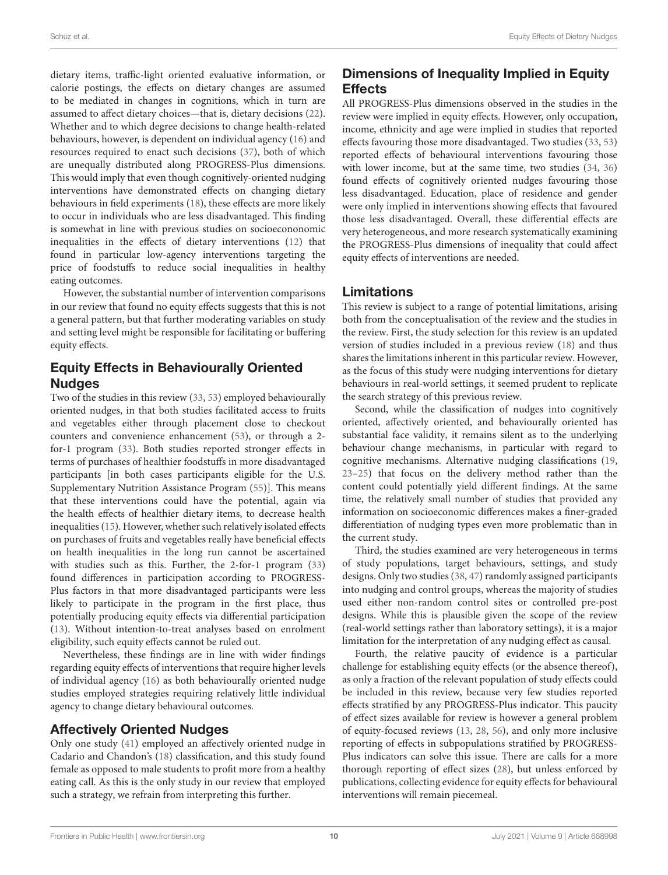dietary items, traffic-light oriented evaluative information, or calorie postings, the effects on dietary changes are assumed to be mediated in changes in cognitions, which in turn are assumed to affect dietary choices—that is, dietary decisions [\(22\)](#page-11-12). Whether and to which degree decisions to change health-related behaviours, however, is dependent on individual agency [\(16\)](#page-11-6) and resources required to enact such decisions [\(37\)](#page-11-44), both of which are unequally distributed along PROGRESS-Plus dimensions. This would imply that even though cognitively-oriented nudging interventions have demonstrated effects on changing dietary behaviours in field experiments [\(18\)](#page-11-8), these effects are more likely to occur in individuals who are less disadvantaged. This finding is somewhat in line with previous studies on socioecononomic inequalities in the effects of dietary interventions [\(12\)](#page-11-3) that found in particular low-agency interventions targeting the price of foodstuffs to reduce social inequalities in healthy eating outcomes.

However, the substantial number of intervention comparisons in our review that found no equity effects suggests that this is not a general pattern, but that further moderating variables on study and setting level might be responsible for facilitating or buffering equity effects.

# Equity Effects in Behaviourally Oriented **Nudges**

Two of the studies in this review [\(33,](#page-11-23) [53\)](#page-12-7) employed behaviourally oriented nudges, in that both studies facilitated access to fruits and vegetables either through placement close to checkout counters and convenience enhancement [\(53\)](#page-12-7), or through a 2 for-1 program [\(33\)](#page-11-23). Both studies reported stronger effects in terms of purchases of healthier foodstuffs in more disadvantaged participants [in both cases participants eligible for the U.S. Supplementary Nutrition Assistance Program [\(55\)](#page-12-11)]. This means that these interventions could have the potential, again via the health effects of healthier dietary items, to decrease health inequalities [\(15\)](#page-11-4). However, whether such relatively isolated effects on purchases of fruits and vegetables really have beneficial effects on health inequalities in the long run cannot be ascertained with studies such as this. Further, the 2-for-1 program [\(33\)](#page-11-23) found differences in participation according to PROGRESS-Plus factors in that more disadvantaged participants were less likely to participate in the program in the first place, thus potentially producing equity effects via differential participation [\(13\)](#page-11-5). Without intention-to-treat analyses based on enrolment eligibility, such equity effects cannot be ruled out.

Nevertheless, these findings are in line with wider findings regarding equity effects of interventions that require higher levels of individual agency [\(16\)](#page-11-6) as both behaviourally oriented nudge studies employed strategies requiring relatively little individual agency to change dietary behavioural outcomes.

#### Affectively Oriented Nudges

Only one study [\(41\)](#page-11-39) employed an affectively oriented nudge in Cadario and Chandon's [\(18\)](#page-11-8) classification, and this study found female as opposed to male students to profit more from a healthy eating call. As this is the only study in our review that employed such a strategy, we refrain from interpreting this further.

# Dimensions of Inequality Implied in Equity **Effects**

All PROGRESS-Plus dimensions observed in the studies in the review were implied in equity effects. However, only occupation, income, ethnicity and age were implied in studies that reported effects favouring those more disadvantaged. Two studies [\(33,](#page-11-23) [53\)](#page-12-7) reported effects of behavioural interventions favouring those with lower income, but at the same time, two studies [\(34,](#page-11-38) [36\)](#page-11-41) found effects of cognitively oriented nudges favouring those less disadvantaged. Education, place of residence and gender were only implied in interventions showing effects that favoured those less disadvantaged. Overall, these differential effects are very heterogeneous, and more research systematically examining the PROGRESS-Plus dimensions of inequality that could affect equity effects of interventions are needed.

#### Limitations

This review is subject to a range of potential limitations, arising both from the conceptualisation of the review and the studies in the review. First, the study selection for this review is an updated version of studies included in a previous review [\(18\)](#page-11-8) and thus shares the limitations inherent in this particular review. However, as the focus of this study were nudging interventions for dietary behaviours in real-world settings, it seemed prudent to replicate the search strategy of this previous review.

Second, while the classification of nudges into cognitively oriented, affectively oriented, and behaviourally oriented has substantial face validity, it remains silent as to the underlying behaviour change mechanisms, in particular with regard to cognitive mechanisms. Alternative nudging classifications [\(19,](#page-11-9) [23](#page-11-15)[–25\)](#page-11-13) that focus on the delivery method rather than the content could potentially yield different findings. At the same time, the relatively small number of studies that provided any information on socioeconomic differences makes a finer-graded differentiation of nudging types even more problematic than in the current study.

Third, the studies examined are very heterogeneous in terms of study populations, target behaviours, settings, and study designs. Only two studies [\(38,](#page-11-42) [47\)](#page-12-9) randomly assigned participants into nudging and control groups, whereas the majority of studies used either non-random control sites or controlled pre-post designs. While this is plausible given the scope of the review (real-world settings rather than laboratory settings), it is a major limitation for the interpretation of any nudging effect as causal.

Fourth, the relative paucity of evidence is a particular challenge for establishing equity effects (or the absence thereof), as only a fraction of the relevant population of study effects could be included in this review, because very few studies reported effects stratified by any PROGRESS-Plus indicator. This paucity of effect sizes available for review is however a general problem of equity-focused reviews [\(13,](#page-11-5) [28,](#page-11-18) [56\)](#page-12-12), and only more inclusive reporting of effects in subpopulations stratified by PROGRESS-Plus indicators can solve this issue. There are calls for a more thorough reporting of effect sizes [\(28\)](#page-11-18), but unless enforced by publications, collecting evidence for equity effects for behavioural interventions will remain piecemeal.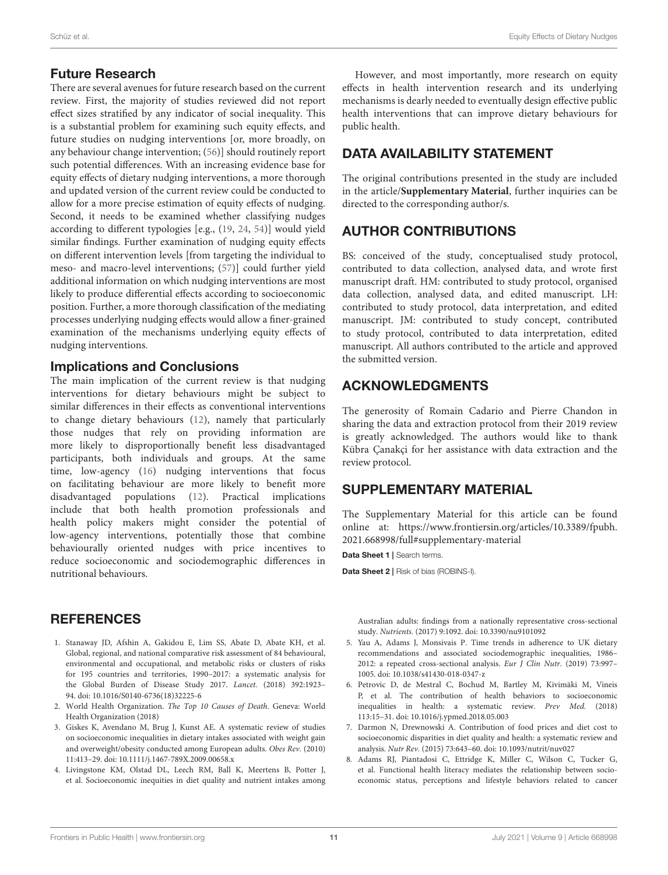#### Future Research

There are several avenues for future research based on the current review. First, the majority of studies reviewed did not report effect sizes stratified by any indicator of social inequality. This is a substantial problem for examining such equity effects, and future studies on nudging interventions [or, more broadly, on any behaviour change intervention; [\(56\)](#page-12-12)] should routinely report such potential differences. With an increasing evidence base for equity effects of dietary nudging interventions, a more thorough and updated version of the current review could be conducted to allow for a more precise estimation of equity effects of nudging. Second, it needs to be examined whether classifying nudges according to different typologies [e.g., [\(19,](#page-11-9) [24,](#page-11-14) [54\)](#page-12-10)] would yield similar findings. Further examination of nudging equity effects on different intervention levels [from targeting the individual to meso- and macro-level interventions; [\(57\)](#page-12-13)] could further yield additional information on which nudging interventions are most likely to produce differential effects according to socioeconomic position. Further, a more thorough classification of the mediating processes underlying nudging effects would allow a finer-grained examination of the mechanisms underlying equity effects of nudging interventions.

#### Implications and Conclusions

The main implication of the current review is that nudging interventions for dietary behaviours might be subject to similar differences in their effects as conventional interventions to change dietary behaviours [\(12\)](#page-11-3), namely that particularly those nudges that rely on providing information are more likely to disproportionally benefit less disadvantaged participants, both individuals and groups. At the same time, low-agency [\(16\)](#page-11-6) nudging interventions that focus on facilitating behaviour are more likely to benefit more disadvantaged populations [\(12\)](#page-11-3). Practical implications include that both health promotion professionals and health policy makers might consider the potential of low-agency interventions, potentially those that combine behaviourally oriented nudges with price incentives to reduce socioeconomic and sociodemographic differences in nutritional behaviours.

#### **REFERENCES**

- <span id="page-10-0"></span>1. Stanaway JD, Afshin A, Gakidou E, Lim SS, Abate D, Abate KH, et al. Global, regional, and national comparative risk assessment of 84 behavioural, environmental and occupational, and metabolic risks or clusters of risks for 195 countries and territories, 1990–2017: a systematic analysis for the Global Burden of Disease Study 2017. Lancet. (2018) 392:1923– 94. doi: [10.1016/S0140-6736\(18\)32225-6](https://doi.org/10.1016/S0140-6736(18)32225-6)
- <span id="page-10-1"></span>2. World Health Organization. The Top 10 Causes of Death. Geneva: World Health Organization (2018)
- <span id="page-10-2"></span>3. Giskes K, Avendano M, Brug J, Kunst AE. A systematic review of studies on socioeconomic inequalities in dietary intakes associated with weight gain and overweight/obesity conducted among European adults. Obes Rev. (2010) 11:413–29. doi: [10.1111/j.1467-789X.2009.00658.x](https://doi.org/10.1111/j.1467-789X.2009.00658.x)
- <span id="page-10-3"></span>4. Livingstone KM, Olstad DL, Leech RM, Ball K, Meertens B, Potter J, et al. Socioeconomic inequities in diet quality and nutrient intakes among

However, and most importantly, more research on equity effects in health intervention research and its underlying mechanisms is dearly needed to eventually design effective public health interventions that can improve dietary behaviours for public health.

#### DATA AVAILABILITY STATEMENT

The original contributions presented in the study are included in the article/**[Supplementary Material](#page-10-8)**, further inquiries can be directed to the corresponding author/s.

# AUTHOR CONTRIBUTIONS

BS: conceived of the study, conceptualised study protocol, contributed to data collection, analysed data, and wrote first manuscript draft. HM: contributed to study protocol, organised data collection, analysed data, and edited manuscript. LH: contributed to study protocol, data interpretation, and edited manuscript. JM: contributed to study concept, contributed to study protocol, contributed to data interpretation, edited manuscript. All authors contributed to the article and approved the submitted version.

#### <span id="page-10-9"></span>ACKNOWLEDGMENTS

The generosity of Romain Cadario and Pierre Chandon in sharing the data and extraction protocol from their 2019 review is greatly acknowledged. The authors would like to thank Kübra Çanakçi for her assistance with data extraction and the review protocol.

#### SUPPLEMENTARY MATERIAL

<span id="page-10-8"></span>The Supplementary Material for this article can be found [online at: https://www.frontiersin.org/articles/10.3389/fpubh.](https://www.frontiersin.org/articles/10.3389/fpubh.2021.668998/full#supplementary-material) 2021.668998/full#supplementary-material

Data Sheet 1 | Search terms.

Data Sheet 2 | Risk of bias (ROBINS-I).

Australian adults: findings from a nationally representative cross-sectional study. Nutrients. (2017) 9:1092. doi: [10.3390/nu9101092](https://doi.org/10.3390/nu9101092)

- <span id="page-10-4"></span>5. Yau A, Adams J, Monsivais P. Time trends in adherence to UK dietary recommendations and associated sociodemographic inequalities, 1986– 2012: a repeated cross-sectional analysis. Eur J Clin Nutr. (2019) 73:997– 1005. doi: [10.1038/s41430-018-0347-z](https://doi.org/10.1038/s41430-018-0347-z)
- <span id="page-10-5"></span>6. Petrovic D, de Mestral C, Bochud M, Bartley M, Kivimäki M, Vineis P, et al. The contribution of health behaviors to socioeconomic inequalities in health: a systematic review. Prev Med. (2018) 113:15–31. doi: [10.1016/j.ypmed.2018.05.003](https://doi.org/10.1016/j.ypmed.2018.05.003)
- <span id="page-10-6"></span>7. Darmon N, Drewnowski A. Contribution of food prices and diet cost to socioeconomic disparities in diet quality and health: a systematic review and analysis. Nutr Rev. (2015) 73:643–60. doi: [10.1093/nutrit/nuv027](https://doi.org/10.1093/nutrit/nuv027)
- <span id="page-10-7"></span>8. Adams RJ, Piantadosi C, Ettridge K, Miller C, Wilson C, Tucker G, et al. Functional health literacy mediates the relationship between socioeconomic status, perceptions and lifestyle behaviors related to cancer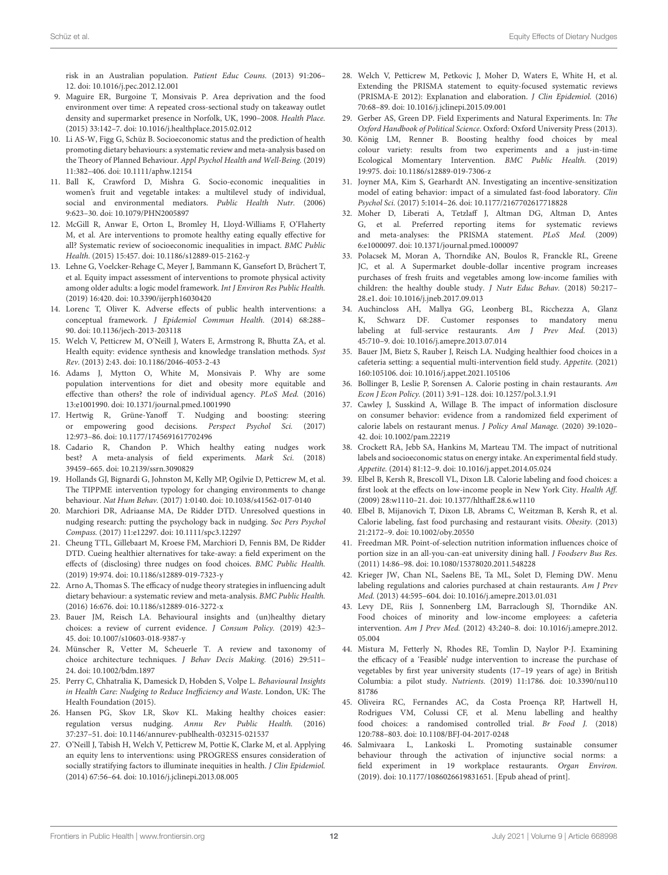risk in an Australian population. Patient Educ Couns. (2013) 91:206– 12. doi: [10.1016/j.pec.2012.12.001](https://doi.org/10.1016/j.pec.2012.12.001)

- <span id="page-11-0"></span>9. Maguire ER, Burgoine T, Monsivais P. Area deprivation and the food environment over time: A repeated cross-sectional study on takeaway outlet density and supermarket presence in Norfolk, UK, 1990–2008. Health Place. (2015) 33:142–7. doi: [10.1016/j.healthplace.2015.02.012](https://doi.org/10.1016/j.healthplace.2015.02.012)
- <span id="page-11-1"></span>10. Li AS-W, Figg G, Schüz B. Socioeconomic status and the prediction of health promoting dietary behaviours: a systematic review and meta-analysis based on the Theory of Planned Behaviour. Appl Psychol Health and Well-Being. (2019) 11:382–406. doi: [10.1111/aphw.12154](https://doi.org/10.1111/aphw.12154)
- <span id="page-11-2"></span>11. Ball K, Crawford D, Mishra G. Socio-economic inequalities in women's fruit and vegetable intakes: a multilevel study of individual, social and environmental mediators. Public Health Nutr. (2006) 9:623–30. doi: [10.1079/PHN2005897](https://doi.org/10.1079/PHN2005897)
- <span id="page-11-3"></span>12. McGill R, Anwar E, Orton L, Bromley H, Lloyd-Williams F, O'Flaherty M, et al. Are interventions to promote healthy eating equally effective for all? Systematic review of socioeconomic inequalities in impact. BMC Public Health. (2015) 15:457. doi: [10.1186/s12889-015-2162-y](https://doi.org/10.1186/s12889-015-2162-y)
- <span id="page-11-5"></span>13. Lehne G, Voelcker-Rehage C, Meyer J, Bammann K, Gansefort D, Brüchert T, et al. Equity impact assessment of interventions to promote physical activity among older adults: a logic model framework. Int J Environ Res Public Health. (2019) 16:420. doi: [10.3390/ijerph16030420](https://doi.org/10.3390/ijerph16030420)
- <span id="page-11-51"></span>14. Lorenc T, Oliver K. Adverse effects of public health interventions: a conceptual framework. J Epidemiol Commun Health. (2014) 68:288– 90. doi: [10.1136/jech-2013-203118](https://doi.org/10.1136/jech-2013-203118)
- <span id="page-11-37"></span><span id="page-11-35"></span><span id="page-11-4"></span>15. Welch V, Petticrew M, O'Neill J, Waters E, Armstrong R, Bhutta ZA, et al. Health equity: evidence synthesis and knowledge translation methods. Syst Rev. (2013) 2:43. doi: [10.1186/2046-4053-2-43](https://doi.org/10.1186/2046-4053-2-43)
- <span id="page-11-6"></span>16. Adams J, Mytton O, White M, Monsivais P. Why are some population interventions for diet and obesity more equitable and effective than others? the role of individual agency. PLoS Med. (2016) 13:e1001990. doi: [10.1371/journal.pmed.1001990](https://doi.org/10.1371/journal.pmed.1001990)
- <span id="page-11-7"></span>17. Hertwig R, Grüne-Yanoff T. Nudging and boosting: steering or empowering good decisions. Perspect Psychol Sci. (2017) 12:973–86. doi: [10.1177/1745691617702496](https://doi.org/10.1177/1745691617702496)
- <span id="page-11-8"></span>18. Cadario R, Chandon P. Which healthy eating nudges work best? A meta-analysis of field experiments. Mark Sci. (2018) 39459–665. doi: [10.2139/ssrn.3090829](https://doi.org/10.2139/ssrn.3090829)
- <span id="page-11-9"></span>19. Hollands GJ, Bignardi G, Johnston M, Kelly MP, Ogilvie D, Petticrew M, et al. The TIPPME intervention typology for changing environments to change behaviour. Nat Hum Behav. (2017) 1:0140. doi: [10.1038/s41562-017-0140](https://doi.org/10.1038/s41562-017-0140)
- <span id="page-11-10"></span>20. Marchiori DR, Adriaanse MA, De Ridder DTD. Unresolved questions in nudging research: putting the psychology back in nudging. Soc Pers Psychol Compass. (2017) 11:e12297. doi: [10.1111/spc3.12297](https://doi.org/10.1111/spc3.12297)
- <span id="page-11-11"></span>21. Cheung TTL, Gillebaart M, Kroese FM, Marchiori D, Fennis BM, De Ridder DTD. Cueing healthier alternatives for take-away: a field experiment on the effects of (disclosing) three nudges on food choices. BMC Public Health. (2019) 19:974. doi: [10.1186/s12889-019-7323-y](https://doi.org/10.1186/s12889-019-7323-y)
- <span id="page-11-12"></span>22. Arno A, Thomas S. The efficacy of nudge theory strategies in influencing adult dietary behaviour: a systematic review and meta-analysis. BMC Public Health. (2016) 16:676. doi: [10.1186/s12889-016-3272-x](https://doi.org/10.1186/s12889-016-3272-x)
- <span id="page-11-15"></span>23. Bauer JM, Reisch LA. Behavioural insights and (un)healthy dietary choices: a review of current evidence. J Consum Policy. (2019) 42:3– 45. doi: [10.1007/s10603-018-9387-y](https://doi.org/10.1007/s10603-018-9387-y)
- <span id="page-11-14"></span>24. Münscher R, Vetter M, Scheuerle T. A review and taxonomy of choice architecture techniques. J Behav Decis Making. (2016) 29:511– 24. doi: [10.1002/bdm.1897](https://doi.org/10.1002/bdm.1897)
- <span id="page-11-13"></span>25. Perry C, Chhatralia K, Damesick D, Hobden S, Volpe L. Behavioural Insights in Health Care: Nudging to Reduce Inefficiency and Waste. London, UK: The Health Foundation (2015).
- <span id="page-11-16"></span>26. Hansen PG, Skov LR, Skov KL. Making healthy choices easier: regulation versus nudging. Annu Rev Public Health. (2016) 37:237–51. doi: [10.1146/annurev-publhealth-032315-021537](https://doi.org/10.1146/annurev-publhealth-032315-021537)
- <span id="page-11-17"></span>27. O'Neill J, Tabish H, Welch V, Petticrew M, Pottie K, Clarke M, et al. Applying an equity lens to interventions: using PROGRESS ensures consideration of socially stratifying factors to illuminate inequities in health. J Clin Epidemiol. (2014) 67:56–64. doi: [10.1016/j.jclinepi.2013.08.005](https://doi.org/10.1016/j.jclinepi.2013.08.005)
- <span id="page-11-18"></span>28. Welch V, Petticrew M, Petkovic J, Moher D, Waters E, White H, et al. Extending the PRISMA statement to equity-focused systematic reviews (PRISMA-E 2012): Explanation and elaboration. J Clin Epidemiol. (2016) 70:68–89. doi: [10.1016/j.jclinepi.2015.09.001](https://doi.org/10.1016/j.jclinepi.2015.09.001)
- <span id="page-11-19"></span>29. Gerber AS, Green DP. Field Experiments and Natural Experiments. In: The Oxford Handbook of Political Science. Oxford: Oxford University Press (2013).
- <span id="page-11-20"></span>30. König LM, Renner B. Boosting healthy food choices by meal colour variety: results from two experiments and a just-in-time Ecological Momentary Intervention. BMC Public Health. (2019) 19:975. doi: [10.1186/s12889-019-7306-z](https://doi.org/10.1186/s12889-019-7306-z)
- <span id="page-11-21"></span>31. Joyner MA, Kim S, Gearhardt AN. Investigating an incentive-sensitization model of eating behavior: impact of a simulated fast-food laboratory. Clin Psychol Sci. (2017) 5:1014–26. doi: [10.1177/2167702617718828](https://doi.org/10.1177/2167702617718828)
- <span id="page-11-22"></span>32. Moher D, Liberati A, Tetzlaff J, Altman DG, Altman D, Antes G, et al. Preferred reporting items for systematic reviews and meta-analyses: the PRISMA statement. PLoS Med. (2009) 6:e1000097. doi: [10.1371/journal.pmed.1000097](https://doi.org/10.1371/journal.pmed.1000097)
- <span id="page-11-23"></span>33. Polacsek M, Moran A, Thorndike AN, Boulos R, Franckle RL, Greene JC, et al. A Supermarket double-dollar incentive program increases purchases of fresh fruits and vegetables among low-income families with children: the healthy double study. J Nutr Educ Behav. (2018) 50:217– 28.e1. doi: [10.1016/j.jneb.2017.09.013](https://doi.org/10.1016/j.jneb.2017.09.013)
- <span id="page-11-38"></span>34. Auchincloss AH, Mallya GG, Leonberg BL, Ricchezza A, Glanz K, Schwarz DF. Customer responses to mandatory menu labeling at full-service restaurants. Am J Prev Med. (2013) 45:710–9. doi: [10.1016/j.amepre.2013.07.014](https://doi.org/10.1016/j.amepre.2013.07.014)
- <span id="page-11-50"></span><span id="page-11-36"></span><span id="page-11-34"></span><span id="page-11-33"></span><span id="page-11-32"></span><span id="page-11-31"></span><span id="page-11-30"></span><span id="page-11-29"></span><span id="page-11-28"></span><span id="page-11-27"></span><span id="page-11-26"></span><span id="page-11-25"></span><span id="page-11-24"></span>35. Bauer JM, Bietz S, Rauber J, Reisch LA. Nudging healthier food choices in a cafeteria setting: a sequential multi-intervention field study. Appetite. (2021) 160:105106. doi: [10.1016/j.appet.2021.105106](https://doi.org/10.1016/j.appet.2021.105106)
- <span id="page-11-41"></span>36. Bollinger B, Leslie P, Sorensen A. Calorie posting in chain restaurants. Am Econ J Econ Policy. (2011) 3:91–128. doi: [10.1257/pol.3.1.91](https://doi.org/10.1257/pol.3.1.91)
- <span id="page-11-44"></span>37. Cawley J, Susskind A, Willage B. The impact of information disclosure on consumer behavior: evidence from a randomized field experiment of calorie labels on restaurant menus. J Policy Anal Manage. (2020) 39:1020– 42. doi: [10.1002/pam.22219](https://doi.org/10.1002/pam.22219)
- <span id="page-11-42"></span>38. Crockett RA, Jebb SA, Hankins M, Marteau TM. The impact of nutritional labels and socioeconomic status on energy intake. An experimental field study. Appetite. (2014) 81:12–9. doi: [10.1016/j.appet.2014.05.024](https://doi.org/10.1016/j.appet.2014.05.024)
- <span id="page-11-45"></span>39. Elbel B, Kersh R, Brescoll VL, Dixon LB. Calorie labeling and food choices: a first look at the effects on low-income people in New York City. Health Aff. (2009) 28:w1110–21. doi: [10.1377/hlthaff.28.6.w1110](https://doi.org/10.1377/hlthaff.28.6.w1110)
- <span id="page-11-46"></span>40. Elbel B, Mijanovich T, Dixon LB, Abrams C, Weitzman B, Kersh R, et al. Calorie labeling, fast food purchasing and restaurant visits. Obesity. (2013) 21:2172–9. doi: [10.1002/oby.20550](https://doi.org/10.1002/oby.20550)
- <span id="page-11-39"></span>41. Freedman MR. Point-of-selection nutrition information influences choice of portion size in an all-you-can-eat university dining hall. *J Foodserv Bus Res*. (2011) 14:86–98. doi: [10.1080/15378020.2011.548228](https://doi.org/10.1080/15378020.2011.548228)
- <span id="page-11-47"></span>42. Krieger JW, Chan NL, Saelens BE, Ta ML, Solet D, Fleming DW. Menu labeling regulations and calories purchased at chain restaurants. Am J Prev Med. (2013) 44:595–604. doi: [10.1016/j.amepre.2013.01.031](https://doi.org/10.1016/j.amepre.2013.01.031)
- <span id="page-11-43"></span>43. Levy DE, Riis J, Sonnenberg LM, Barraclough SJ, Thorndike AN. Food choices of minority and low-income employees: a cafeteria intervention. Am J Prev Med. [\(2012\) 43:240–8. doi: 10.1016/j.amepre.2012.](https://doi.org/10.1016/j.amepre.2012.05.004) 05.004
- <span id="page-11-49"></span>44. Mistura M, Fetterly N, Rhodes RE, Tomlin D, Naylor P-J. Examining the efficacy of a 'Feasible' nudge intervention to increase the purchase of vegetables by first year university students (17–19 years of age) in British Columbia: a pilot study. Nutrients. [\(2019\) 11:1786. doi: 10.3390/nu110](https://doi.org/10.3390/nu11081786) 81786
- <span id="page-11-48"></span>45. Oliveira RC, Fernandes AC, da Costa Proença RP, Hartwell H, Rodrigues VM, Colussi CF, et al. Menu labelling and healthy food choices: a randomised controlled trial. Br Food J. (2018) 120:788–803. doi: [10.1108/BFJ-04-2017-0248](https://doi.org/10.1108/BFJ-04-2017-0248)
- <span id="page-11-40"></span>46. Salmivaara L, Lankoski L. Promoting sustainable consumer behaviour through the activation of injunctive social norms: a field experiment in 19 workplace restaurants. Organ Environ. (2019). doi: [10.1177/1086026619831651.](https://doi.org/10.1177/1086026619831651) [Epub ahead of print].